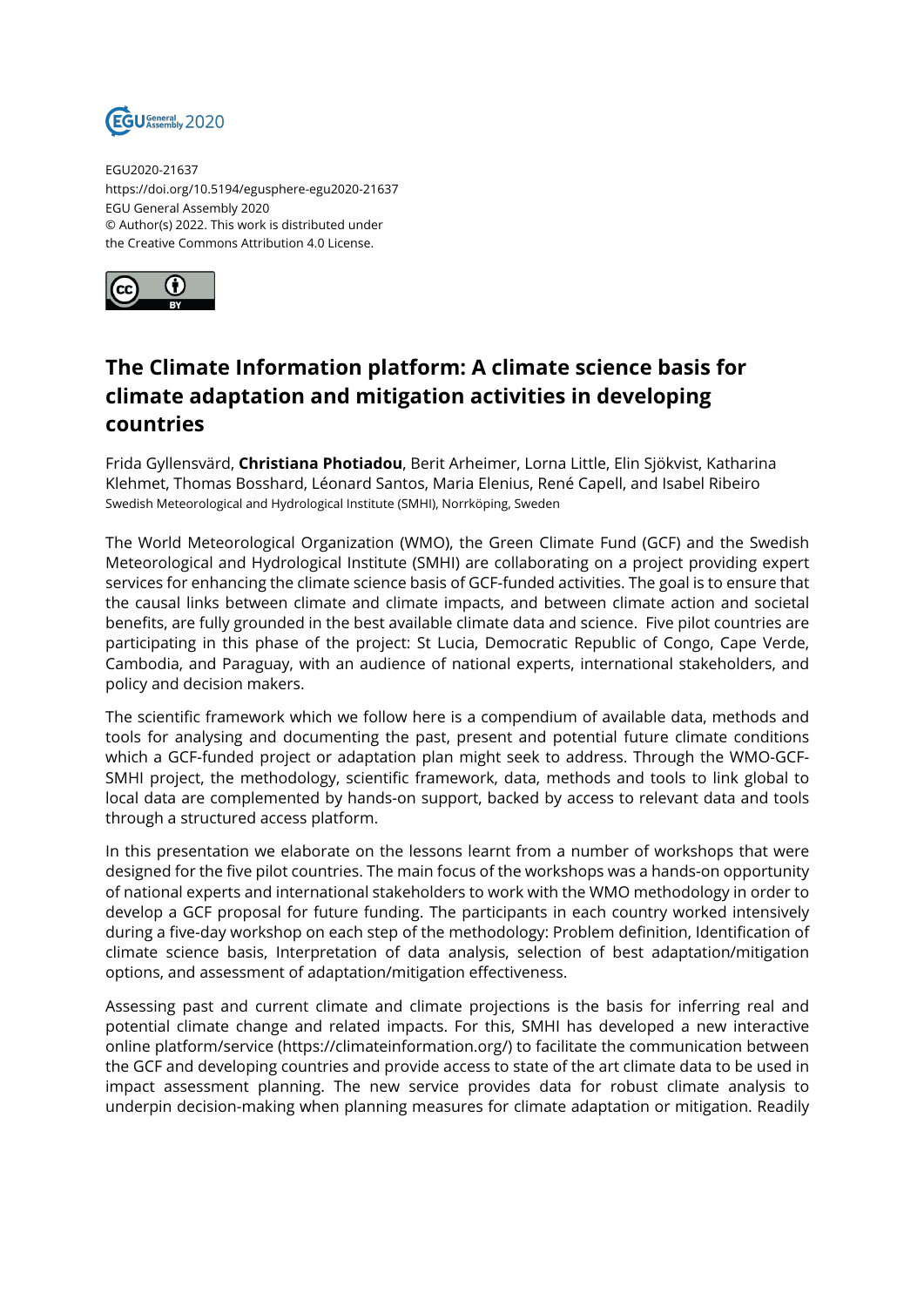

EGU2020-21637 https://doi.org/10.5194/egusphere-egu2020-21637 EGU General Assembly 2020 © Author(s) 2022. This work is distributed under the Creative Commons Attribution 4.0 License.



## **The Climate Information platform: A climate science basis for climate adaptation and mitigation activities in developing countries**

Frida Gyllensvärd, **Christiana Photiadou**, Berit Arheimer, Lorna Little, Elin Sjökvist, Katharina Klehmet, Thomas Bosshard, Léonard Santos, Maria Elenius, René Capell, and Isabel Ribeiro Swedish Meteorological and Hydrological Institute (SMHI), Norrköping, Sweden

The World Meteorological Organization (WMO), the Green Climate Fund (GCF) and the Swedish Meteorological and Hydrological Institute (SMHI) are collaborating on a project providing expert services for enhancing the climate science basis of GCF-funded activities. The goal is to ensure that the causal links between climate and climate impacts, and between climate action and societal benefits, are fully grounded in the best available climate data and science. Five pilot countries are participating in this phase of the project: St Lucia, Democratic Republic of Congo, Cape Verde, Cambodia, and Paraguay, with an audience of national experts, international stakeholders, and policy and decision makers.

The scientific framework which we follow here is a compendium of available data, methods and tools for analysing and documenting the past, present and potential future climate conditions which a GCF-funded project or adaptation plan might seek to address. Through the WMO-GCF-SMHI project, the methodology, scientific framework, data, methods and tools to link global to local data are complemented by hands-on support, backed by access to relevant data and tools through a structured access platform.

In this presentation we elaborate on the lessons learnt from a number of workshops that were designed for the five pilot countries. The main focus of the workshops was a hands-on opportunity of national experts and international stakeholders to work with the WMO methodology in order to develop a GCF proposal for future funding. The participants in each country worked intensively during a five-day workshop on each step of the methodology: Problem definition, Identification of climate science basis, Interpretation of data analysis, selection of best adaptation/mitigation options, and assessment of adaptation/mitigation effectiveness.

Assessing past and current climate and climate projections is the basis for inferring real and potential climate change and related impacts. For this, SMHI has developed a new interactive online platform/service (https://climateinformation.org/) to facilitate the communication between the GCF and developing countries and provide access to state of the art climate data to be used in impact assessment planning. The new service provides data for robust climate analysis to underpin decision-making when planning measures for climate adaptation or mitigation. Readily